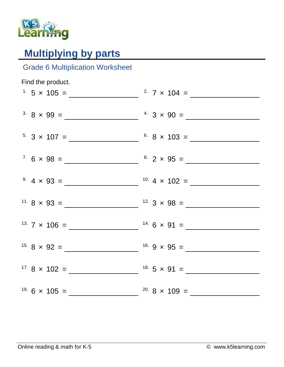

## **Multiplying by parts**

## Grade 6 Multiplication Worksheet

| Find the product. |                        |
|-------------------|------------------------|
|                   | <sup>2</sup> 7 x 104 = |
|                   |                        |
|                   |                        |
|                   |                        |
|                   |                        |
|                   |                        |
|                   |                        |
|                   |                        |
|                   |                        |
|                   |                        |
|                   |                        |
|                   |                        |
|                   |                        |
|                   |                        |
|                   |                        |
|                   |                        |
|                   |                        |
|                   |                        |
|                   |                        |